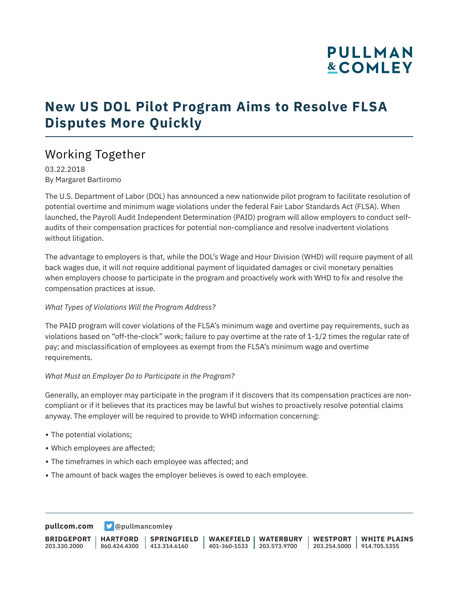## **PULLMAN &COMLEY**

## **New US DOL Pilot Program Aims to Resolve FLSA Disputes More Quickly**

## Working Together

03.22.2018 By Margaret Bartiromo

The U.S. Department of Labor (DOL) has announced a new nationwide pilot program to facilitate resolution of potential overtime and minimum wage violations under the federal Fair Labor Standards Act (FLSA). When launched, the Payroll Audit Independent Determination (PAID) program will allow employers to conduct selfaudits of their compensation practices for potential non-compliance and resolve inadvertent violations without litigation.

The advantage to employers is that, while the DOL's Wage and Hour Division (WHD) will require payment of all back wages due, it will not require additional payment of liquidated damages or civil monetary penalties when employers choose to participate in the program and proactively work with WHD to fix and resolve the compensation practices at issue.

### *What Types of Violations Will the Program Address?*

The PAID program will cover violations of the FLSA's minimum wage and overtime pay requirements, such as violations based on "off-the-clock" work; failure to pay overtime at the rate of 1-1/2 times the regular rate of pay; and misclassification of employees as exempt from the FLSA's minimum wage and overtime requirements.

### *What Must an Employer Do to Participate in the Program?*

Generally, an employer may participate in the program if it discovers that its compensation practices are noncompliant or if it believes that its practices may be lawful but wishes to proactively resolve potential claims anyway. The employer will be required to provide to WHD information concerning:

- The potential violations;
- Which employees are affected;
- The timeframes in which each employee was affected; and
- The amount of back wages the employer believes is owed to each employee.

**[pullcom.com](https://www.pullcom.com) g** [@pullmancomley](https://twitter.com/PullmanComley)

**BRIDGEPORT** 203.330.2000 **HARTFORD** 860.424.4300 413.314.6160 **SPRINGFIELD WAKEFIELD WATERBURY** 401-360-1533 203.573.9700 **WESTPORT WHITE PLAINS** 203.254.5000 914.705.5355